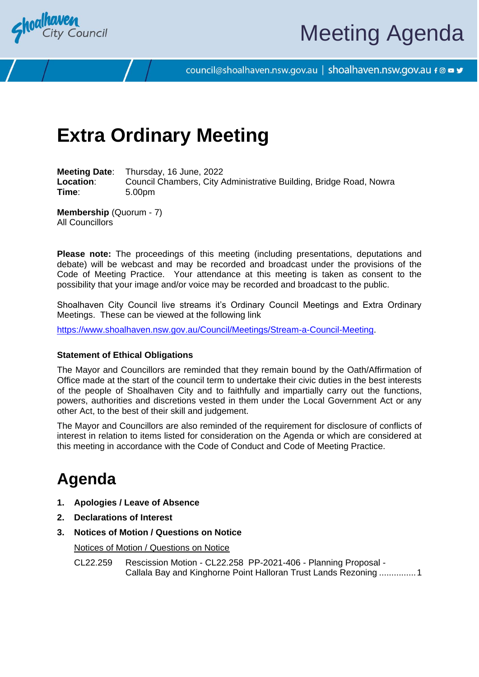

# Meeting Agenda

council@shoalhaven.nsw.gov.au | shoalhaven.nsw.gov.au f @ ■ y

# **Extra Ordinary Meeting**

**Meeting Date**: Thursday, 16 June, 2022 **Location:** Council Chambers, City Administrative Building, Bridge Road, Nowra **Time**: 5.00pm

**Membership** (Quorum - 7) All Councillors

**Please note:** The proceedings of this meeting (including presentations, deputations and debate) will be webcast and may be recorded and broadcast under the provisions of the Code of Meeting Practice. Your attendance at this meeting is taken as consent to the possibility that your image and/or voice may be recorded and broadcast to the public.

Shoalhaven City Council live streams it's Ordinary Council Meetings and Extra Ordinary Meetings. These can be viewed at the following link

[https://www.shoalhaven.nsw.gov.au/Council/Meetings/Stream-a-Council-Meeting.](https://www.shoalhaven.nsw.gov.au/Council/Meetings/Stream-a-Council-Meeting)

#### **Statement of Ethical Obligations**

The Mayor and Councillors are reminded that they remain bound by the Oath/Affirmation of Office made at the start of the council term to undertake their civic duties in the best interests of the people of Shoalhaven City and to faithfully and impartially carry out the functions, powers, authorities and discretions vested in them under the Local Government Act or any other Act, to the best of their skill and judgement.

The Mayor and Councillors are also reminded of the requirement for disclosure of conflicts of interest in relation to items listed for consideration on the Agenda or which are considered at this meeting in accordance with the Code of Conduct and Code of Meeting Practice.

# **Agenda**

- **1. Apologies / Leave of Absence**
- **2. Declarations of Interest**
- **3. Notices of Motion / Questions on Notice**

Notices of Motion / Questions on Notice

CL22.259 Rescission Motion - CL22.258 PP-2021-406 - Planning Proposal - Callala Bay and Kinghorne Point Halloran Trust Lands Rezoning ..............[.1](#page-1-0)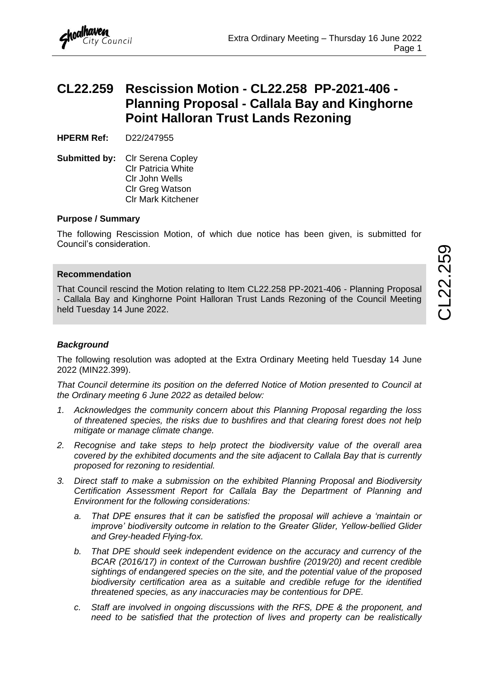# <span id="page-1-0"></span>**CL22.259 Rescission Motion - CL22.258 PP-2021-406 - Planning Proposal - Callala Bay and Kinghorne Point Halloran Trust Lands Rezoning**

**HPERM Ref:** D22/247955

**Submitted by:** Clr Serena Copley Clr Patricia White Clr John Wells Clr Greg Watson Clr Mark Kitchener

# **Purpose / Summary**

The following Rescission Motion, of which due notice has been given, is submitted for Council's consideration.

#### **Recommendation**

That Council rescind the Motion relating to Item CL22.258 PP-2021-406 - Planning Proposal - Callala Bay and Kinghorne Point Halloran Trust Lands Rezoning of the Council Meeting held Tuesday 14 June 2022.

# *Background*

The following resolution was adopted at the Extra Ordinary Meeting held Tuesday 14 June 2022 (MIN22.399).

*That Council determine its position on the deferred Notice of Motion presented to Council at the Ordinary meeting 6 June 2022 as detailed below:*

- *1. Acknowledges the community concern about this Planning Proposal regarding the loss of threatened species, the risks due to bushfires and that clearing forest does not help mitigate or manage climate change.*
- *2. Recognise and take steps to help protect the biodiversity value of the overall area covered by the exhibited documents and the site adjacent to Callala Bay that is currently proposed for rezoning to residential.*
- *3. Direct staff to make a submission on the exhibited Planning Proposal and Biodiversity Certification Assessment Report for Callala Bay the Department of Planning and Environment for the following considerations:*
	- *a. That DPE ensures that it can be satisfied the proposal will achieve a 'maintain or improve' biodiversity outcome in relation to the Greater Glider, Yellow-bellied Glider and Grey-headed Flying-fox.*
	- *b. That DPE should seek independent evidence on the accuracy and currency of the BCAR (2016/17) in context of the Currowan bushfire (2019/20) and recent credible sightings of endangered species on the site, and the potential value of the proposed biodiversity certification area as a suitable and credible refuge for the identified threatened species, as any inaccuracies may be contentious for DPE.*
	- *c. Staff are involved in ongoing discussions with the RFS, DPE & the proponent, and need to be satisfied that the protection of lives and property can be realistically*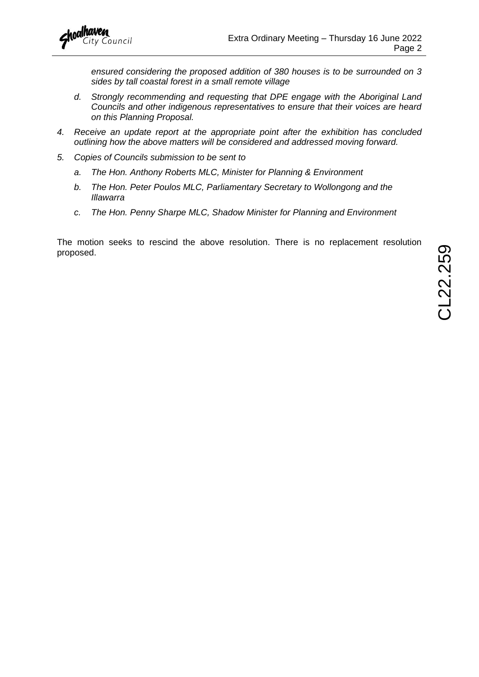*ensured considering the proposed addition of 380 houses is to be surrounded on 3 sides by tall coastal forest in a small remote village*

- *d. Strongly recommending and requesting that DPE engage with the Aboriginal Land Councils and other indigenous representatives to ensure that their voices are heard on this Planning Proposal.*
- *4. Receive an update report at the appropriate point after the exhibition has concluded outlining how the above matters will be considered and addressed moving forward.*
- *5. Copies of Councils submission to be sent to* 
	- *a. The Hon. Anthony Roberts MLC, Minister for Planning & Environment*
	- *b. The Hon. Peter Poulos MLC, Parliamentary Secretary to Wollongong and the Illawarra*
	- *c. The Hon. Penny Sharpe MLC, Shadow Minister for Planning and Environment*

The motion seeks to rescind the above resolution. There is no replacement resolution proposed.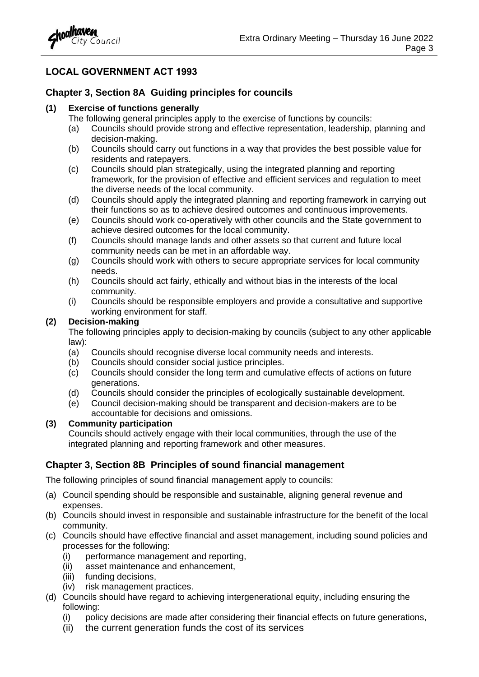

# **LOCAL GOVERNMENT ACT 1993**

# **Chapter 3, Section 8A Guiding principles for councils**

### **(1) Exercise of functions generally**

- The following general principles apply to the exercise of functions by councils:
- (a) Councils should provide strong and effective representation, leadership, planning and decision-making.
- (b) Councils should carry out functions in a way that provides the best possible value for residents and ratepayers.
- (c) Councils should plan strategically, using the integrated planning and reporting framework, for the provision of effective and efficient services and regulation to meet the diverse needs of the local community.
- (d) Councils should apply the integrated planning and reporting framework in carrying out their functions so as to achieve desired outcomes and continuous improvements.
- (e) Councils should work co-operatively with other councils and the State government to achieve desired outcomes for the local community.
- (f) Councils should manage lands and other assets so that current and future local community needs can be met in an affordable way.
- (g) Councils should work with others to secure appropriate services for local community needs.
- (h) Councils should act fairly, ethically and without bias in the interests of the local community.
- (i) Councils should be responsible employers and provide a consultative and supportive working environment for staff.

# **(2) Decision-making**

The following principles apply to decision-making by councils (subject to any other applicable law):

- (a) Councils should recognise diverse local community needs and interests.
- (b) Councils should consider social justice principles.
- (c) Councils should consider the long term and cumulative effects of actions on future generations.
- (d) Councils should consider the principles of ecologically sustainable development.
- (e) Council decision-making should be transparent and decision-makers are to be accountable for decisions and omissions.

# **(3) Community participation**

Councils should actively engage with their local communities, through the use of the integrated planning and reporting framework and other measures.

# **Chapter 3, Section 8B Principles of sound financial management**

The following principles of sound financial management apply to councils:

- (a) Council spending should be responsible and sustainable, aligning general revenue and expenses.
- (b) Councils should invest in responsible and sustainable infrastructure for the benefit of the local community.
- (c) Councils should have effective financial and asset management, including sound policies and processes for the following:
	- (i) performance management and reporting,
	- (ii) asset maintenance and enhancement,
	- (iii) funding decisions,
	- (iv) risk management practices.
- (d) Councils should have regard to achieving intergenerational equity, including ensuring the following:
	- (i) policy decisions are made after considering their financial effects on future generations,
	- (ii) the current generation funds the cost of its services